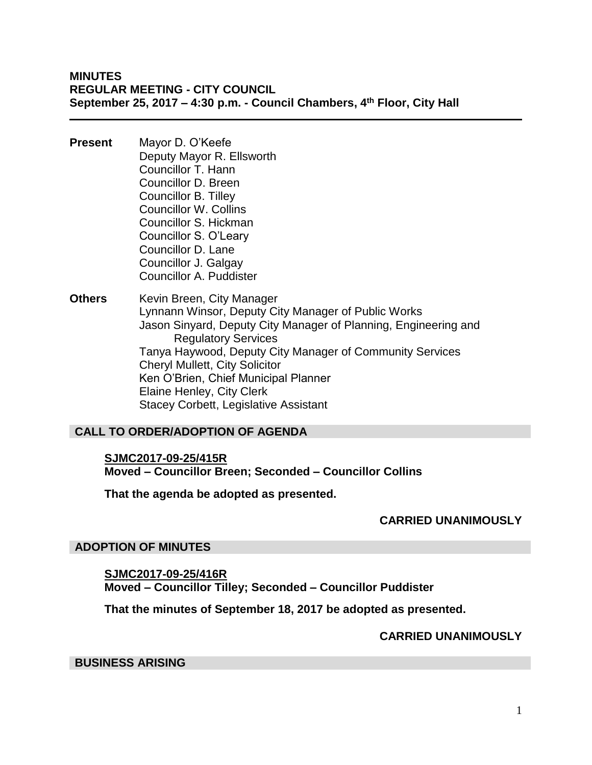**MINUTES REGULAR MEETING - CITY COUNCIL September 25, 2017 – 4:30 p.m. - Council Chambers, 4th Floor, City Hall**

- **Present** Mayor D. O'Keefe Deputy Mayor R. Ellsworth Councillor T. Hann Councillor D. Breen Councillor B. Tilley Councillor W. Collins Councillor S. Hickman Councillor S. O'Leary Councillor D. Lane Councillor J. Galgay Councillor A. Puddister
- **Others** Kevin Breen, City Manager Lynnann Winsor, Deputy City Manager of Public Works Jason Sinyard, Deputy City Manager of Planning, Engineering and Regulatory Services Tanya Haywood, Deputy City Manager of Community Services Cheryl Mullett, City Solicitor Ken O'Brien, Chief Municipal Planner Elaine Henley, City Clerk Stacey Corbett, Legislative Assistant

## **CALL TO ORDER/ADOPTION OF AGENDA**

**SJMC2017-09-25/415R Moved – Councillor Breen; Seconded – Councillor Collins**

**That the agenda be adopted as presented.**

## **CARRIED UNANIMOUSLY**

#### **ADOPTION OF MINUTES**

**SJMC2017-09-25/416R Moved – Councillor Tilley; Seconded – Councillor Puddister**

**That the minutes of September 18, 2017 be adopted as presented.**

## **CARRIED UNANIMOUSLY**

#### **BUSINESS ARISING**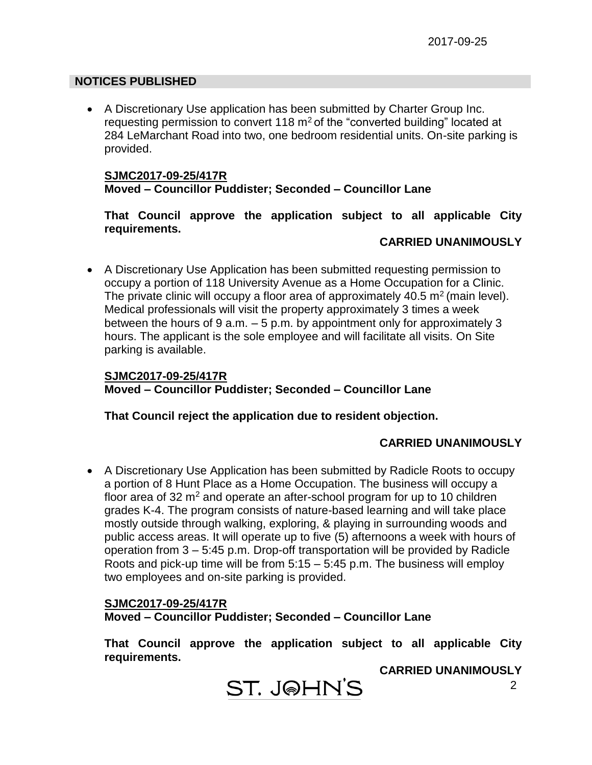## **NOTICES PUBLISHED**

 A Discretionary Use application has been submitted by Charter Group Inc. requesting permission to convert 118  $m<sup>2</sup>$  of the "converted building" located at 284 LeMarchant Road into two, one bedroom residential units. On-site parking is provided.

## **SJMC2017-09-25/417R Moved – Councillor Puddister; Seconded – Councillor Lane**

**That Council approve the application subject to all applicable City requirements.**

#### **CARRIED UNANIMOUSLY**

 A Discretionary Use Application has been submitted requesting permission to occupy a portion of 118 University Avenue as a Home Occupation for a Clinic. The private clinic will occupy a floor area of approximately 40.5  $m<sup>2</sup>$  (main level). Medical professionals will visit the property approximately 3 times a week between the hours of 9 a.m. – 5 p.m. by appointment only for approximately 3 hours. The applicant is the sole employee and will facilitate all visits. On Site parking is available.

## **SJMC2017-09-25/417R Moved – Councillor Puddister; Seconded – Councillor Lane**

## **That Council reject the application due to resident objection.**

## **CARRIED UNANIMOUSLY**

 A Discretionary Use Application has been submitted by Radicle Roots to occupy a portion of 8 Hunt Place as a Home Occupation. The business will occupy a floor area of 32  $m<sup>2</sup>$  and operate an after-school program for up to 10 children grades K-4. The program consists of nature-based learning and will take place mostly outside through walking, exploring, & playing in surrounding woods and public access areas. It will operate up to five (5) afternoons a week with hours of operation from 3 – 5:45 p.m. Drop-off transportation will be provided by Radicle Roots and pick-up time will be from 5:15 – 5:45 p.m. The business will employ two employees and on-site parking is provided.

## **SJMC2017-09-25/417R Moved – Councillor Puddister; Seconded – Councillor Lane**

**That Council approve the application subject to all applicable City requirements.**

#### **CARRIED UNANIMOUSLY**

**ST. JOHN'S**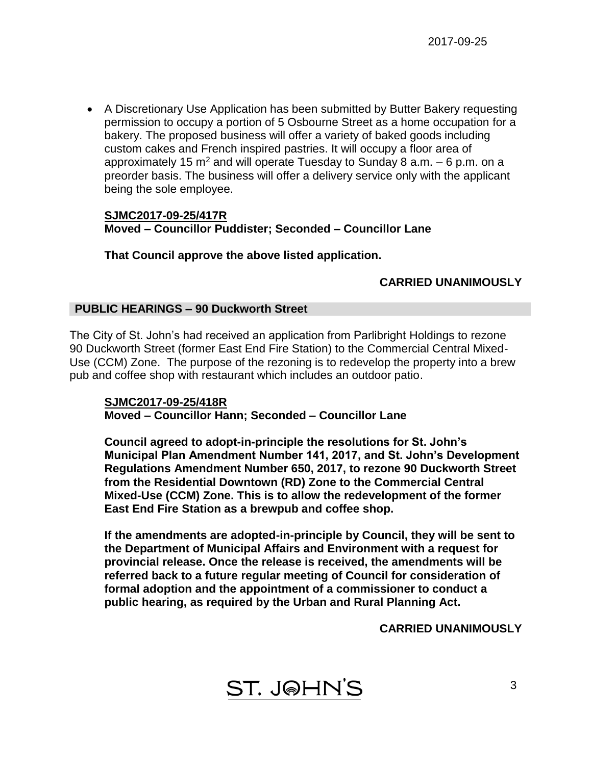A Discretionary Use Application has been submitted by Butter Bakery requesting permission to occupy a portion of 5 Osbourne Street as a home occupation for a bakery. The proposed business will offer a variety of baked goods including custom cakes and French inspired pastries. It will occupy a floor area of approximately 15  $m^2$  and will operate Tuesday to Sunday 8 a.m.  $-6$  p.m. on a preorder basis. The business will offer a delivery service only with the applicant being the sole employee.

#### **SJMC2017-09-25/417R Moved – Councillor Puddister; Seconded – Councillor Lane**

**That Council approve the above listed application.**

# **CARRIED UNANIMOUSLY**

## **PUBLIC HEARINGS – 90 Duckworth Street**

The City of St. John's had received an application from Parlibright Holdings to rezone 90 Duckworth Street (former East End Fire Station) to the Commercial Central Mixed-Use (CCM) Zone. The purpose of the rezoning is to redevelop the property into a brew pub and coffee shop with restaurant which includes an outdoor patio.

#### **SJMC2017-09-25/418R Moved – Councillor Hann; Seconded – Councillor Lane**

**Council agreed to adopt-in-principle the resolutions for St. John's Municipal Plan Amendment Number 141, 2017, and St. John's Development Regulations Amendment Number 650, 2017, to rezone 90 Duckworth Street from the Residential Downtown (RD) Zone to the Commercial Central Mixed-Use (CCM) Zone. This is to allow the redevelopment of the former East End Fire Station as a brewpub and coffee shop.**

**If the amendments are adopted-in-principle by Council, they will be sent to the Department of Municipal Affairs and Environment with a request for provincial release. Once the release is received, the amendments will be referred back to a future regular meeting of Council for consideration of formal adoption and the appointment of a commissioner to conduct a public hearing, as required by the Urban and Rural Planning Act.**

## **CARRIED UNANIMOUSLY**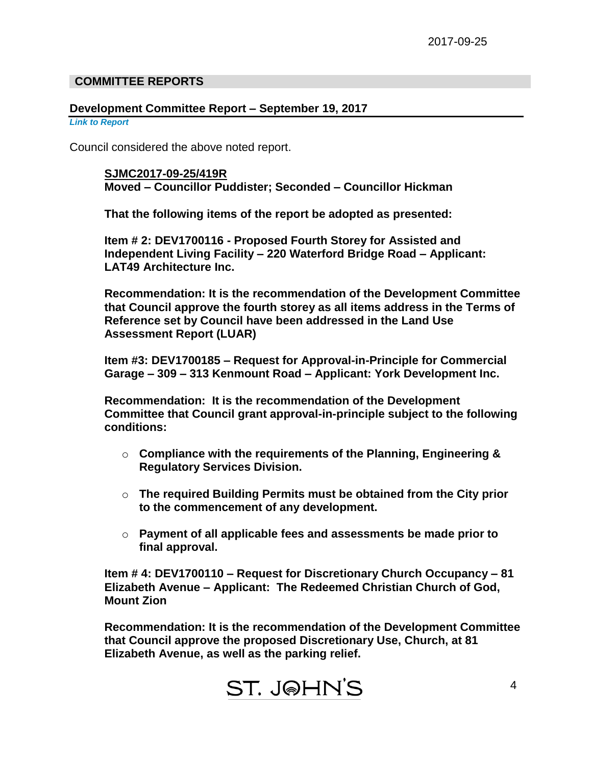## **COMMITTEE REPORTS**

#### **Development Committee Report – September 19, 2017**

#### *Link to Report*

Council considered the above noted report.

**SJMC2017-09-25/419R Moved – Councillor Puddister; Seconded – Councillor Hickman**

**That the following items of the report be adopted as presented:**

**Item # 2: DEV1700116 - Proposed Fourth Storey for Assisted and Independent Living Facility – 220 Waterford Bridge Road – Applicant: LAT49 Architecture Inc.**

**Recommendation: It is the recommendation of the Development Committee that Council approve the fourth storey as all items address in the Terms of Reference set by Council have been addressed in the Land Use Assessment Report (LUAR)**

**Item #3: DEV1700185 – Request for Approval-in-Principle for Commercial Garage – 309 – 313 Kenmount Road – Applicant: York Development Inc.**

**Recommendation: It is the recommendation of the Development Committee that Council grant approval-in-principle subject to the following conditions:**

- o **Compliance with the requirements of the Planning, Engineering & Regulatory Services Division.**
- o **The required Building Permits must be obtained from the City prior to the commencement of any development.**
- o **Payment of all applicable fees and assessments be made prior to final approval.**

**Item # 4: DEV1700110 – Request for Discretionary Church Occupancy – 81 Elizabeth Avenue – Applicant: The Redeemed Christian Church of God, Mount Zion**

**Recommendation: It is the recommendation of the Development Committee that Council approve the proposed Discretionary Use, Church, at 81 Elizabeth Avenue, as well as the parking relief.**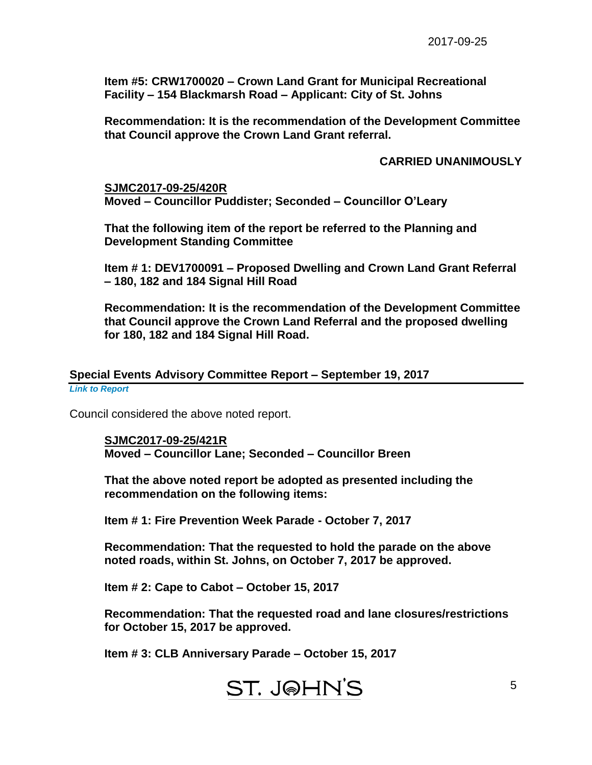**Item #5: CRW1700020 – Crown Land Grant for Municipal Recreational Facility – 154 Blackmarsh Road – Applicant: City of St. Johns**

**Recommendation: It is the recommendation of the Development Committee that Council approve the Crown Land Grant referral.**

#### **CARRIED UNANIMOUSLY**

5

**SJMC2017-09-25/420R**

**Moved – Councillor Puddister; Seconded – Councillor O'Leary**

**That the following item of the report be referred to the Planning and Development Standing Committee**

**Item # 1: DEV1700091 – Proposed Dwelling and Crown Land Grant Referral – 180, 182 and 184 Signal Hill Road**

**Recommendation: It is the recommendation of the Development Committee that Council approve the Crown Land Referral and the proposed dwelling for 180, 182 and 184 Signal Hill Road.**

## **Special Events Advisory Committee Report – September 19, 2017**

*Link to Report*

Council considered the above noted report.

**SJMC2017-09-25/421R Moved – Councillor Lane; Seconded – Councillor Breen**

**That the above noted report be adopted as presented including the recommendation on the following items:**

**Item # 1: Fire Prevention Week Parade - October 7, 2017**

**Recommendation: That the requested to hold the parade on the above noted roads, within St. Johns, on October 7, 2017 be approved.**

**Item # 2: Cape to Cabot – October 15, 2017**

**Recommendation: That the requested road and lane closures/restrictions for October 15, 2017 be approved.**

**Item # 3: CLB Anniversary Parade – October 15, 2017**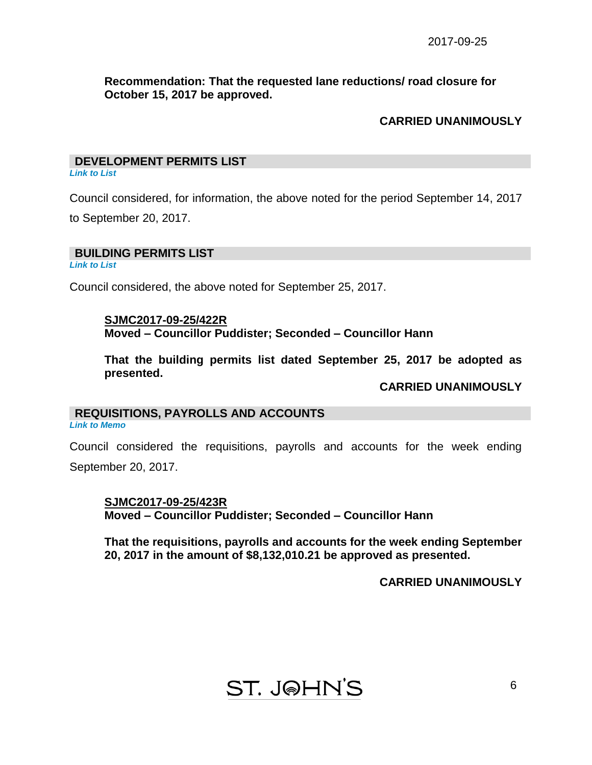**Recommendation: That the requested lane reductions/ road closure for October 15, 2017 be approved.**

#### **CARRIED UNANIMOUSLY**

# **DEVELOPMENT PERMITS LIST**

*Link to List*

Council considered, for information, the above noted for the period September 14, 2017 to September 20, 2017.

**BUILDING PERMITS LIST** 

*Link to List*

Council considered, the above noted for September 25, 2017.

**SJMC2017-09-25/422R Moved – Councillor Puddister; Seconded – Councillor Hann**

**That the building permits list dated September 25, 2017 be adopted as presented.**

**CARRIED UNANIMOUSLY**

# **REQUISITIONS, PAYROLLS AND ACCOUNTS**

*Link to Memo*

Council considered the requisitions, payrolls and accounts for the week ending September 20, 2017.

**SJMC2017-09-25/423R Moved – Councillor Puddister; Seconded – Councillor Hann**

**That the requisitions, payrolls and accounts for the week ending September 20, 2017 in the amount of \$8,132,010.21 be approved as presented.**

**CARRIED UNANIMOUSLY**

# **ST. J@HN'S**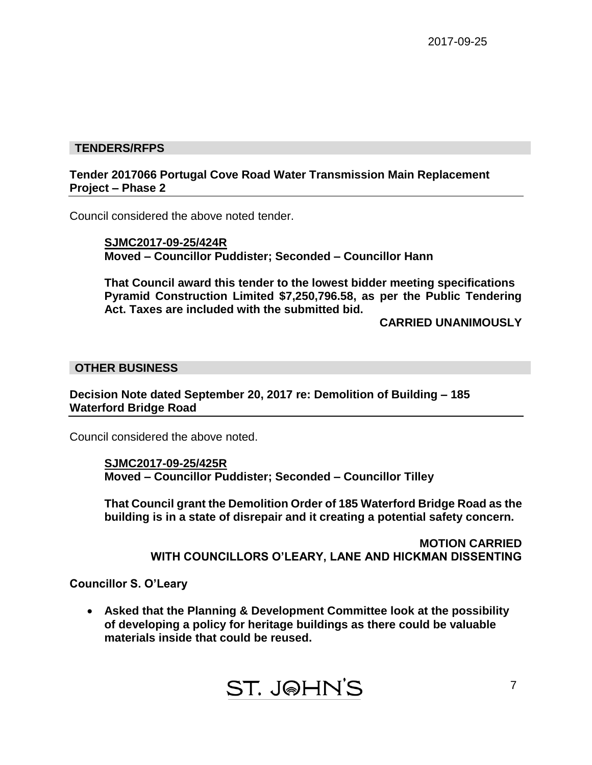## **TENDERS/RFPS**

## **Tender 2017066 Portugal Cove Road Water Transmission Main Replacement Project – Phase 2**

Council considered the above noted tender.

**SJMC2017-09-25/424R Moved – Councillor Puddister; Seconded – Councillor Hann**

**That Council award this tender to the lowest bidder meeting specifications Pyramid Construction Limited \$7,250,796.58, as per the Public Tendering Act. Taxes are included with the submitted bid.**

**CARRIED UNANIMOUSLY**

#### **OTHER BUSINESS**

**Decision Note dated September 20, 2017 re: Demolition of Building – 185 Waterford Bridge Road**

Council considered the above noted.

**SJMC2017-09-25/425R Moved – Councillor Puddister; Seconded – Councillor Tilley**

**That Council grant the Demolition Order of 185 Waterford Bridge Road as the building is in a state of disrepair and it creating a potential safety concern.**

> **MOTION CARRIED WITH COUNCILLORS O'LEARY, LANE AND HICKMAN DISSENTING**

**Councillor S. O'Leary**

 **Asked that the Planning & Development Committee look at the possibility of developing a policy for heritage buildings as there could be valuable materials inside that could be reused.**